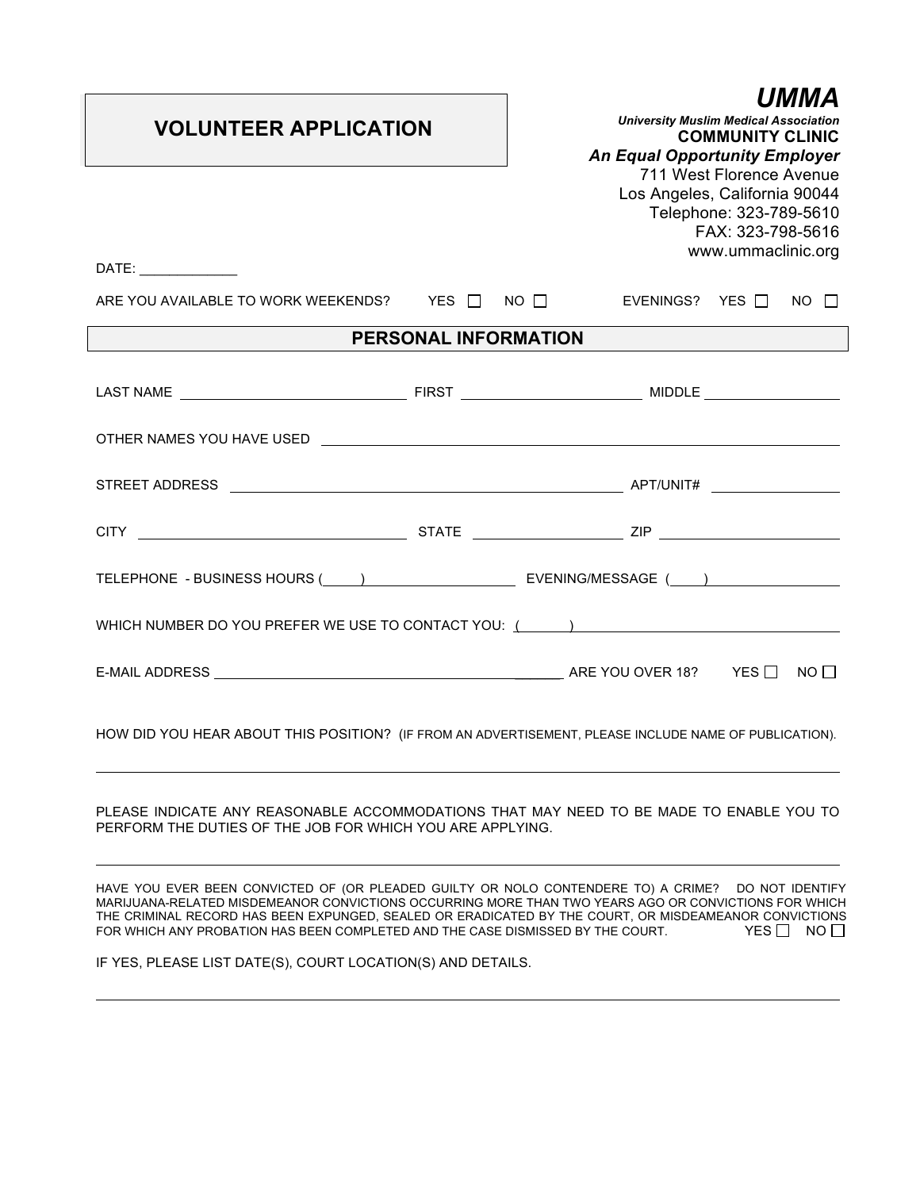| <b>VOLUNTEER APPLICATION</b><br>DATE:                                                                                                                                                                                         | UMMA<br><b>University Muslim Medical Association</b><br><b>COMMUNITY CLINIC</b><br><b>An Equal Opportunity Employer</b><br>711 West Florence Avenue<br>Los Angeles, California 90044<br>Telephone: 323-789-5610<br>FAX: 323-798-5616<br>www.ummaclinic.org |  |  |  |
|-------------------------------------------------------------------------------------------------------------------------------------------------------------------------------------------------------------------------------|------------------------------------------------------------------------------------------------------------------------------------------------------------------------------------------------------------------------------------------------------------|--|--|--|
| ARE YOU AVAILABLE TO WORK WEEKENDS? YES $\Box$ NO $\Box$ EVENINGS? YES $\Box$ NO $\Box$                                                                                                                                       |                                                                                                                                                                                                                                                            |  |  |  |
| PERSONAL INFORMATION                                                                                                                                                                                                          |                                                                                                                                                                                                                                                            |  |  |  |
|                                                                                                                                                                                                                               |                                                                                                                                                                                                                                                            |  |  |  |
|                                                                                                                                                                                                                               |                                                                                                                                                                                                                                                            |  |  |  |
|                                                                                                                                                                                                                               |                                                                                                                                                                                                                                                            |  |  |  |
|                                                                                                                                                                                                                               |                                                                                                                                                                                                                                                            |  |  |  |
|                                                                                                                                                                                                                               |                                                                                                                                                                                                                                                            |  |  |  |
| WHICH NUMBER DO YOU PREFER WE USE TO CONTACT YOU: (Case of the material contract of the material contract of the material contract of the material contract of the material contract of the material contract of the material |                                                                                                                                                                                                                                                            |  |  |  |
|                                                                                                                                                                                                                               |                                                                                                                                                                                                                                                            |  |  |  |
| HOW DID YOU HEAR ABOUT THIS POSITION? (IF FROM AN ADVERTISEMENT, PLEASE INCLUDE NAME OF PUBLICATION).                                                                                                                         |                                                                                                                                                                                                                                                            |  |  |  |

PLEASE INDICATE ANY REASONABLE ACCOMMODATIONS THAT MAY NEED TO BE MADE TO ENABLE YOU TO PERFORM THE DUTIES OF THE JOB FOR WHICH YOU ARE APPLYING.

HAVE YOU EVER BEEN CONVICTED OF (OR PLEADED GUILTY OR NOLO CONTENDERE TO) A CRIME? DO NOT IDENTIFY MARIJUANA-RELATED MISDEMEANOR CONVICTIONS OCCURRING MORE THAN TWO YEARS AGO OR CONVICTIONS FOR WHICH THE CRIMINAL RECORD HAS BEEN EXPUNGED, SEALED OR ERADICATED BY THE COURT, OR MISDEAMEANOR CONVICTIONS<br>FOR WHICH ANY PROBATION HAS BEEN COMPLETED AND THE CASE DISMISSED BY THE COURT. THE SAME ANY PROBATION HAS BEEN FOR WHICH ANY PROBATION HAS BEEN COMPLETED AND THE CASE DISMISSED BY THE COURT.

IF YES, PLEASE LIST DATE(S), COURT LOCATION(S) AND DETAILS.